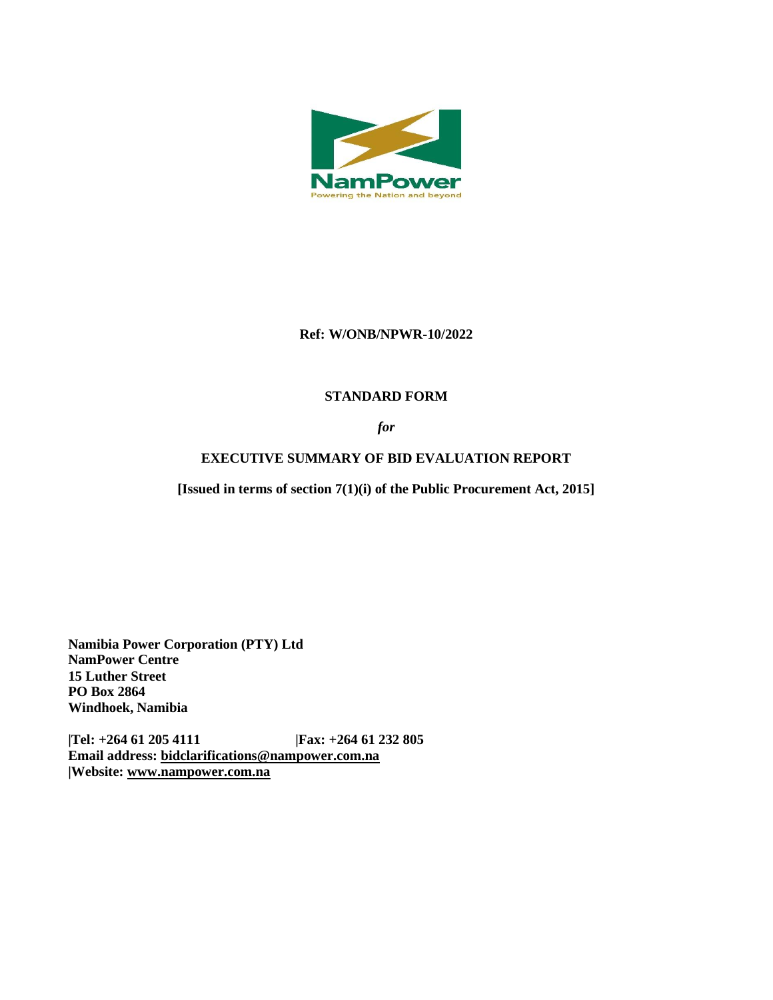

### **Ref: W/ONB/NPWR-10/2022**

## **STANDARD FORM**

*for*

# **EXECUTIVE SUMMARY OF BID EVALUATION REPORT**

**[Issued in terms of section 7(1)(i) of the Public Procurement Act, 2015]** 

**Namibia Power Corporation (PTY) Ltd NamPower Centre 15 Luther Street PO Box 2864 Windhoek, Namibia**

**|Tel: +264 61 205 4111 |Fax: +264 61 232 805 Email address: [bidclarifications@nampower.com.na](mailto:bidclarifications@nampower.com.na) |Website: [www.n](http://www./)ampower.com.na**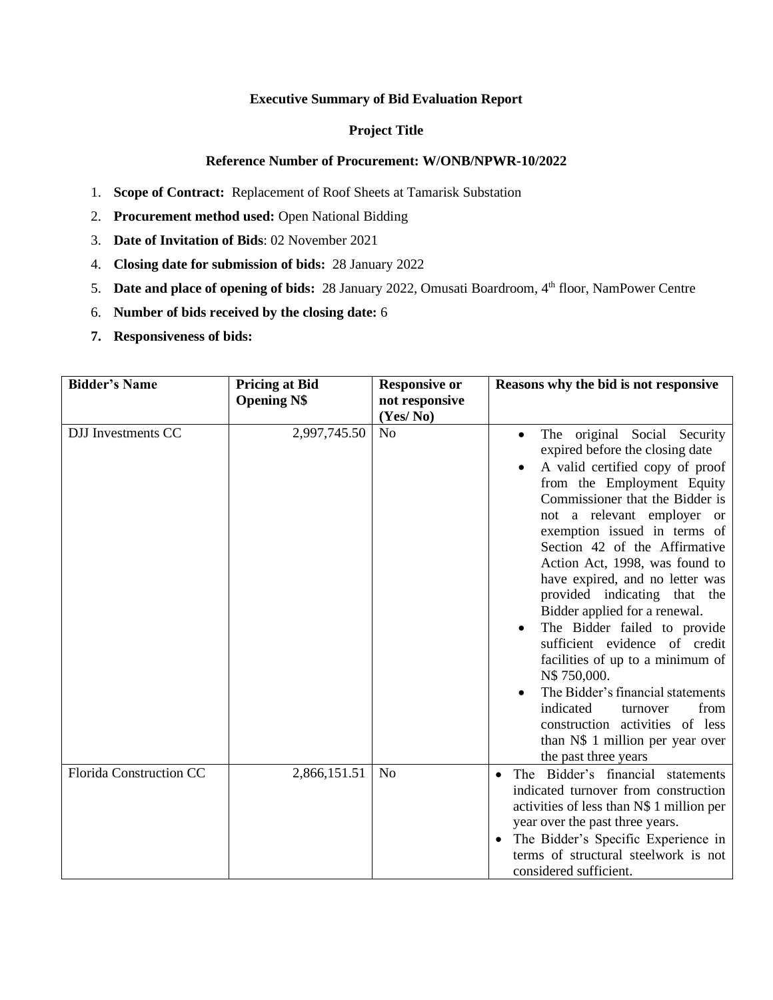#### **Executive Summary of Bid Evaluation Report**

#### **Project Title**

#### **Reference Number of Procurement: W/ONB/NPWR-10/2022**

- 1. **Scope of Contract:** Replacement of Roof Sheets at Tamarisk Substation
- 2. **Procurement method used:** Open National Bidding
- 3. **Date of Invitation of Bids**: 02 November 2021
- 4. **Closing date for submission of bids:** 28 January 2022
- 5. **Date and place of opening of bids:** 28 January 2022, Omusati Boardroom, 4th floor, NamPower Centre
- 6. **Number of bids received by the closing date:** 6
- **7. Responsiveness of bids:**

| <b>Bidder's Name</b>           | <b>Pricing at Bid</b><br><b>Opening N\$</b> | <b>Responsive or</b><br>not responsive<br>(Yes/No) | Reasons why the bid is not responsive                                                                                                                                                                                                                                                                                                                                                                                                                                                                                                                                                                                                                                                             |
|--------------------------------|---------------------------------------------|----------------------------------------------------|---------------------------------------------------------------------------------------------------------------------------------------------------------------------------------------------------------------------------------------------------------------------------------------------------------------------------------------------------------------------------------------------------------------------------------------------------------------------------------------------------------------------------------------------------------------------------------------------------------------------------------------------------------------------------------------------------|
| <b>DJJ</b> Investments CC      | 2,997,745.50                                | N <sub>o</sub>                                     | The original Social Security<br>expired before the closing date<br>A valid certified copy of proof<br>from the Employment Equity<br>Commissioner that the Bidder is<br>not a relevant employer or<br>exemption issued in terms of<br>Section 42 of the Affirmative<br>Action Act, 1998, was found to<br>have expired, and no letter was<br>provided indicating that the<br>Bidder applied for a renewal.<br>The Bidder failed to provide<br>sufficient evidence of credit<br>facilities of up to a minimum of<br>N\$750,000.<br>The Bidder's financial statements<br>indicated<br>from<br>turnover<br>construction activities of less<br>than N\$ 1 million per year over<br>the past three years |
| <b>Florida Construction CC</b> | 2,866,151.51                                | N <sub>o</sub>                                     | The Bidder's financial statements<br>$\bullet$<br>indicated turnover from construction<br>activities of less than N\$ 1 million per<br>year over the past three years.<br>The Bidder's Specific Experience in<br>terms of structural steelwork is not<br>considered sufficient.                                                                                                                                                                                                                                                                                                                                                                                                                   |